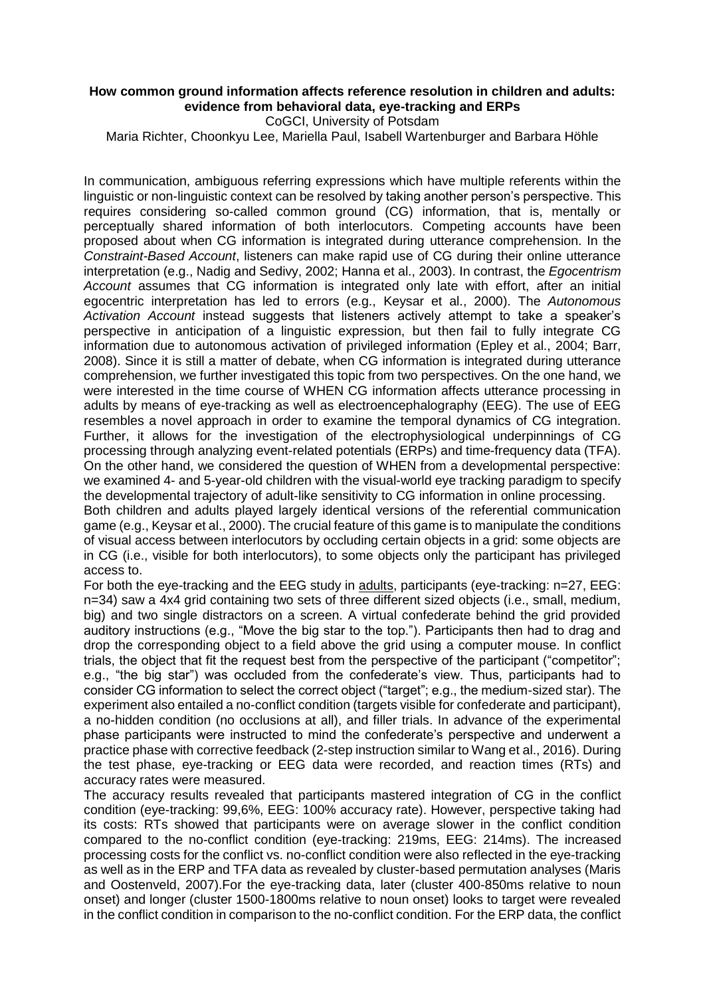## **How common ground information affects reference resolution in children and adults: evidence from behavioral data, eye-tracking and ERPs**

CoGCI, University of Potsdam

Maria Richter, Choonkyu Lee, Mariella Paul, Isabell Wartenburger and Barbara Höhle

In communication, ambiguous referring expressions which have multiple referents within the linguistic or non-linguistic context can be resolved by taking another person's perspective. This requires considering so-called common ground (CG) information, that is, mentally or perceptually shared information of both interlocutors. Competing accounts have been proposed about when CG information is integrated during utterance comprehension. In the *Constraint-Based Account*, listeners can make rapid use of CG during their online utterance interpretation (e.g., Nadig and Sedivy, 2002; Hanna et al., 2003). In contrast, the *Egocentrism Account* assumes that CG information is integrated only late with effort, after an initial egocentric interpretation has led to errors (e.g., Keysar et al., 2000). The *Autonomous Activation Account* instead suggests that listeners actively attempt to take a speaker's perspective in anticipation of a linguistic expression, but then fail to fully integrate CG information due to autonomous activation of privileged information (Epley et al., 2004; Barr, 2008). Since it is still a matter of debate, when CG information is integrated during utterance comprehension, we further investigated this topic from two perspectives. On the one hand, we were interested in the time course of WHEN CG information affects utterance processing in adults by means of eye-tracking as well as electroencephalography (EEG). The use of EEG resembles a novel approach in order to examine the temporal dynamics of CG integration. Further, it allows for the investigation of the electrophysiological underpinnings of CG processing through analyzing event-related potentials (ERPs) and time-frequency data (TFA). On the other hand, we considered the question of WHEN from a developmental perspective: we examined 4- and 5-year-old children with the visual-world eye tracking paradigm to specify the developmental trajectory of adult-like sensitivity to CG information in online processing.

Both children and adults played largely identical versions of the referential communication game (e.g., Keysar et al., 2000). The crucial feature of this game is to manipulate the conditions of visual access between interlocutors by occluding certain objects in a grid: some objects are in CG (i.e., visible for both interlocutors), to some objects only the participant has privileged access to.

For both the eye-tracking and the EEG study in adults, participants (eye-tracking: n=27, EEG: n=34) saw a 4x4 grid containing two sets of three different sized objects (i.e., small, medium, big) and two single distractors on a screen. A virtual confederate behind the grid provided auditory instructions (e.g., "Move the big star to the top."). Participants then had to drag and drop the corresponding object to a field above the grid using a computer mouse. In conflict trials, the object that fit the request best from the perspective of the participant ("competitor"; e.g., "the big star") was occluded from the confederate's view. Thus, participants had to consider CG information to select the correct object ("target"; e.g., the medium-sized star). The experiment also entailed a no-conflict condition (targets visible for confederate and participant), a no-hidden condition (no occlusions at all), and filler trials. In advance of the experimental phase participants were instructed to mind the confederate's perspective and underwent a practice phase with corrective feedback (2-step instruction similar to Wang et al., 2016). During the test phase, eye-tracking or EEG data were recorded, and reaction times (RTs) and accuracy rates were measured.

The accuracy results revealed that participants mastered integration of CG in the conflict condition (eye-tracking: 99,6%, EEG: 100% accuracy rate). However, perspective taking had its costs: RTs showed that participants were on average slower in the conflict condition compared to the no-conflict condition (eye-tracking: 219ms, EEG: 214ms). The increased processing costs for the conflict vs. no-conflict condition were also reflected in the eye-tracking as well as in the ERP and TFA data as revealed by cluster-based permutation analyses (Maris and Oostenveld, 2007).For the eye-tracking data, later (cluster 400-850ms relative to noun onset) and longer (cluster 1500-1800ms relative to noun onset) looks to target were revealed in the conflict condition in comparison to the no-conflict condition. For the ERP data, the conflict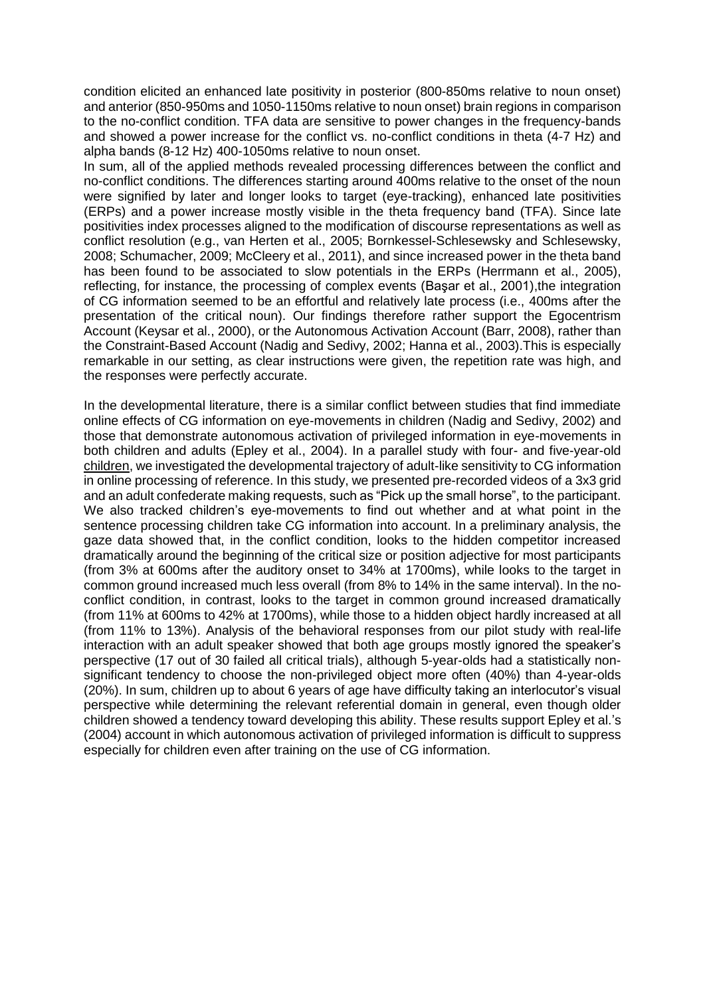condition elicited an enhanced late positivity in posterior (800-850ms relative to noun onset) and anterior (850-950ms and 1050-1150ms relative to noun onset) brain regions in comparison to the no-conflict condition. TFA data are sensitive to power changes in the frequency-bands and showed a power increase for the conflict vs. no-conflict conditions in theta (4-7 Hz) and alpha bands (8-12 Hz) 400-1050ms relative to noun onset.

In sum, all of the applied methods revealed processing differences between the conflict and no-conflict conditions. The differences starting around 400ms relative to the onset of the noun were signified by later and longer looks to target (eye-tracking), enhanced late positivities (ERPs) and a power increase mostly visible in the theta frequency band (TFA). Since late positivities index processes aligned to the modification of discourse representations as well as conflict resolution (e.g., van Herten et al., 2005; Bornkessel-Schlesewsky and Schlesewsky, 2008; Schumacher, 2009; McCleery et al., 2011), and since increased power in the theta band has been found to be associated to slow potentials in the ERPs (Herrmann et al., 2005), reflecting, for instance, the processing of complex events (Başar et al., 2001),the integration of CG information seemed to be an effortful and relatively late process (i.e., 400ms after the presentation of the critical noun). Our findings therefore rather support the Egocentrism Account (Keysar et al., 2000), or the Autonomous Activation Account (Barr, 2008), rather than the Constraint-Based Account (Nadig and Sedivy, 2002; Hanna et al., 2003).This is especially remarkable in our setting, as clear instructions were given, the repetition rate was high, and the responses were perfectly accurate.

In the developmental literature, there is a similar conflict between studies that find immediate online effects of CG information on eye-movements in children (Nadig and Sedivy, 2002) and those that demonstrate autonomous activation of privileged information in eye-movements in both children and adults (Epley et al., 2004). In a parallel study with four- and five-year-old children, we investigated the developmental trajectory of adult-like sensitivity to CG information in online processing of reference. In this study, we presented pre-recorded videos of a 3x3 grid and an adult confederate making requests, such as "Pick up the small horse", to the participant. We also tracked children's eye-movements to find out whether and at what point in the sentence processing children take CG information into account. In a preliminary analysis, the gaze data showed that, in the conflict condition, looks to the hidden competitor increased dramatically around the beginning of the critical size or position adjective for most participants (from 3% at 600ms after the auditory onset to 34% at 1700ms), while looks to the target in common ground increased much less overall (from 8% to 14% in the same interval). In the noconflict condition, in contrast, looks to the target in common ground increased dramatically (from 11% at 600ms to 42% at 1700ms), while those to a hidden object hardly increased at all (from 11% to 13%). Analysis of the behavioral responses from our pilot study with real-life interaction with an adult speaker showed that both age groups mostly ignored the speaker's perspective (17 out of 30 failed all critical trials), although 5-year-olds had a statistically nonsignificant tendency to choose the non-privileged object more often (40%) than 4-year-olds (20%). In sum, children up to about 6 years of age have difficulty taking an interlocutor's visual perspective while determining the relevant referential domain in general, even though older children showed a tendency toward developing this ability. These results support Epley et al.'s (2004) account in which autonomous activation of privileged information is difficult to suppress especially for children even after training on the use of CG information.